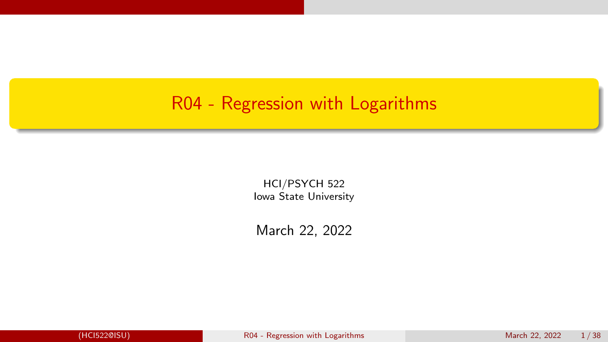#### <span id="page-0-0"></span>R04 - Regression with Logarithms

HCI/PSYCH 522 Iowa State University

March 22, 2022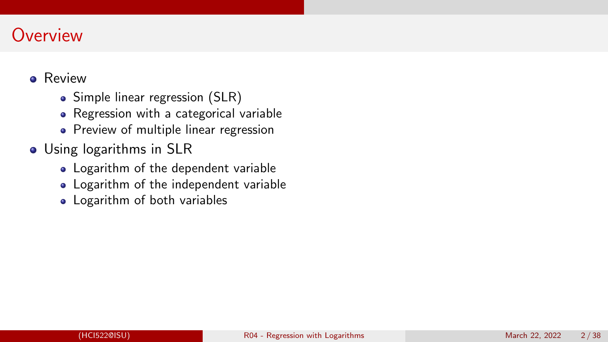#### **Overview**

#### **o** Review

- Simple linear regression (SLR)
- Regression with a categorical variable
- Preview of multiple linear regression
- Using logarithms in SLR
	- Logarithm of the dependent variable
	- Logarithm of the independent variable
	- Logarithm of both variables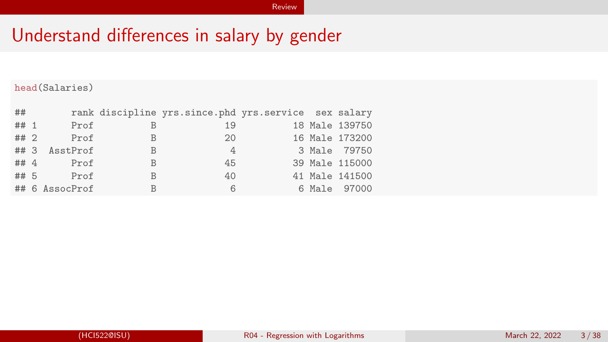<span id="page-2-0"></span>head(Salaries)

| ##   |                |              | rank discipline yrs.since.phd yrs.service sex salary |  |                |
|------|----------------|--------------|------------------------------------------------------|--|----------------|
| ## 1 | Prof           | B            | 19                                                   |  | 18 Male 139750 |
| ## 2 | Prof           | B            | 20                                                   |  | 16 Male 173200 |
|      | ## 3 AsstProf  | B            | 4                                                    |  | 3 Male 79750   |
| ## 4 | Prof           | <sub>B</sub> | 45                                                   |  | 39 Male 115000 |
| ## 5 | Prof           | B            | 40                                                   |  | 41 Male 141500 |
|      | ## 6 AssocProf | B            | 6                                                    |  | 6 Male 97000   |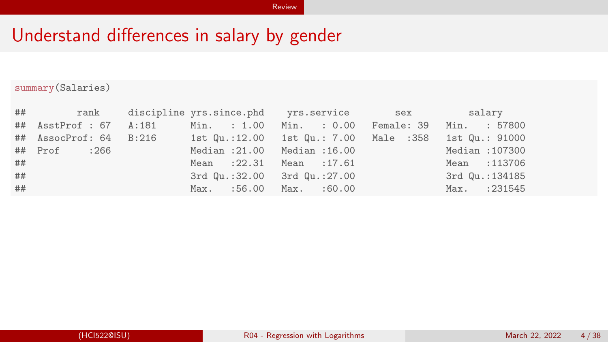summary(Salaries)

|    |              | ## rank discipline_yrs.since.phd yrs.service sex salary                     |  |                 |
|----|--------------|-----------------------------------------------------------------------------|--|-----------------|
|    |              | ## AsstProf : 67 A:181 Min. : 1.00 Min. : 0.00 Female: 39 Min. : 57800      |  |                 |
|    |              | ## AssocProf: 64 B:216 1st Qu.:12.00 1st Qu.: 7.00 Male :358 1st Qu.: 91000 |  |                 |
|    | ## Prof :266 | Median : 21.00 Median : 16.00                                               |  | Median : 107300 |
| ## |              | Mean : 22.31 Mean : 17.61                                                   |  | Mean : 113706   |
| ## |              | 3rd Qu.:32.00 3rd Qu.:27.00                                                 |  | 3rd Qu.:134185  |
| ## |              | Max. :56.00 Max. :60.00                                                     |  | Max. : 231545   |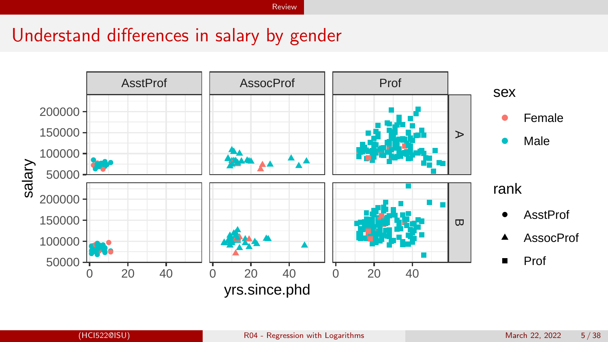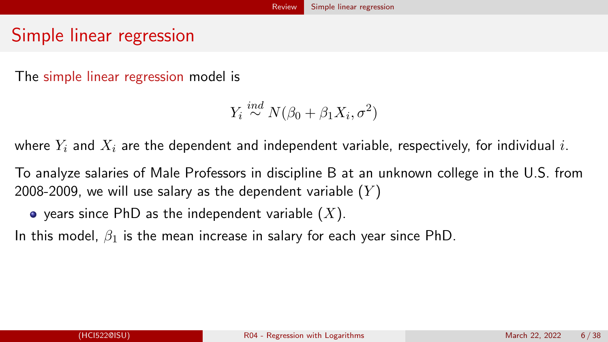#### <span id="page-5-0"></span>Simple linear regression

The simple linear regression model is

 $Y_i \stackrel{ind}{\sim} N(\beta_0 + \beta_1 X_i, \sigma^2)$ 

where  $Y_i$  and  $X_i$  are the dependent and independent variable, respectively, for individual i.

To analyze salaries of Male Professors in discipline B at an unknown college in the U.S. from 2008-2009, we will use salary as the dependent variable  $(Y)$ 

 $\bullet$  years since PhD as the independent variable  $(X)$ .

In this model,  $\beta_1$  is the mean increase in salary for each year since PhD.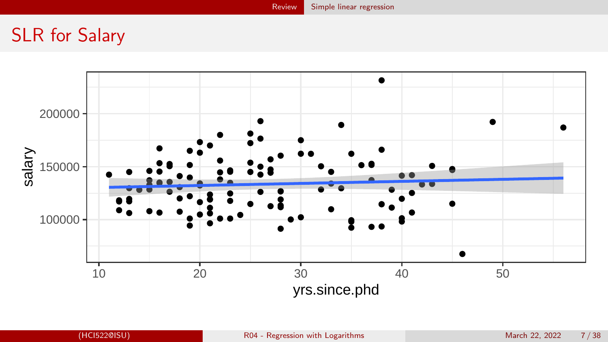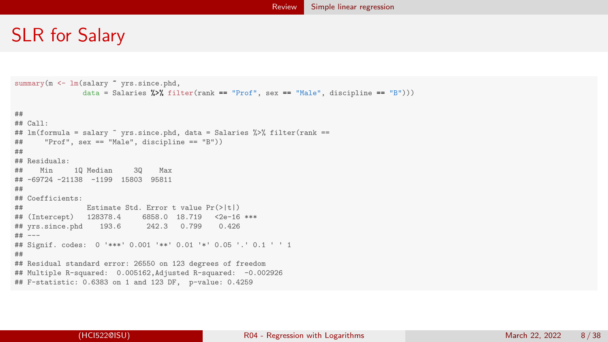```
summary(m <- lm(salary " yrs.since.phd.
                data = Salaries \frac{1}{2}\frac{1}{2} filter(rank == "Prof", sex == "Male", discipline == "B")))
##
## Call:
## lm(formula = salary ~ yrs.since.phd, data = Salaries %>% filter(rank ==
## "Prof", sex == "Male", discipline == "B"))
##
## Residuals:
## Min 1Q Median 3Q Max
## -69724 -21138 -1199 15803 95811
##
## Coefficients:
## Estimate Std. Error t value Pr(>|t|)
                          6858.0 18.719 <2e-16 ***<br>242.3 0.799 0.426
# yrs.since.phd 193.6
## ---
## Signif. codes: 0 '***' 0.001 '**' 0.01 '*' 0.05 '.' 0.1 ' ' 1
##
## Residual standard error: 26550 on 123 degrees of freedom
## Multiple R-squared: 0.005162,Adjusted R-squared: -0.002926
## F-statistic: 0.6383 on 1 and 123 DF, p-value: 0.4259
```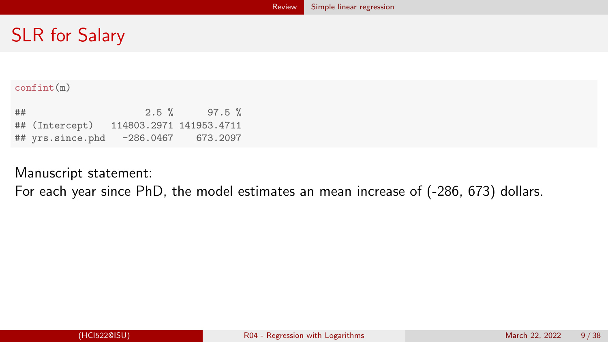#### confint(m)

| ## |                  | $2.5 \%$                | $97.5 \%$ |
|----|------------------|-------------------------|-----------|
|    | ## (Intercept)   | 114803.2971 141953.4711 |           |
|    | ## yrs.since.phd | $-286.0467$             | 673.2097  |

Manuscript statement:

For each year since PhD, the model estimates an mean increase of (-286, 673) dollars.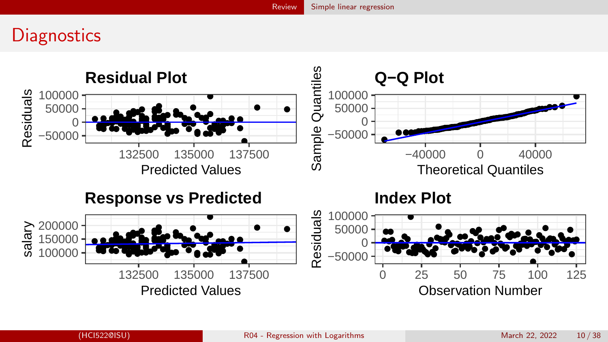#### **Diagnostics**

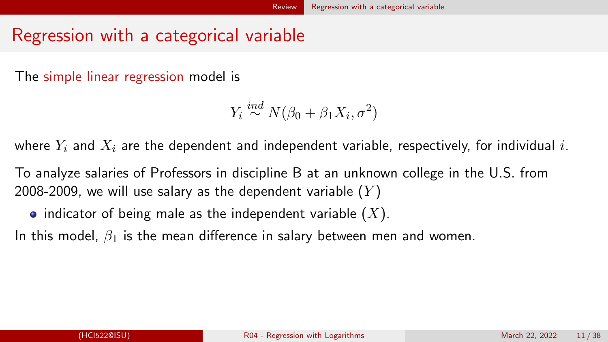#### <span id="page-10-0"></span>Regression with a categorical variable

The simple linear regression model is

 $Y_i \stackrel{ind}{\sim} N(\beta_0 + \beta_1 X_i, \sigma^2)$ 

where  $Y_i$  and  $X_i$  are the dependent and independent variable, respectively, for individual i.

To analyze salaries of Professors in discipline B at an unknown college in the U.S. from 2008-2009, we will use salary as the dependent variable  $(Y)$ 

• indicator of being male as the independent variable  $(X)$ .

In this model,  $\beta_1$  is the mean difference in salary between men and women.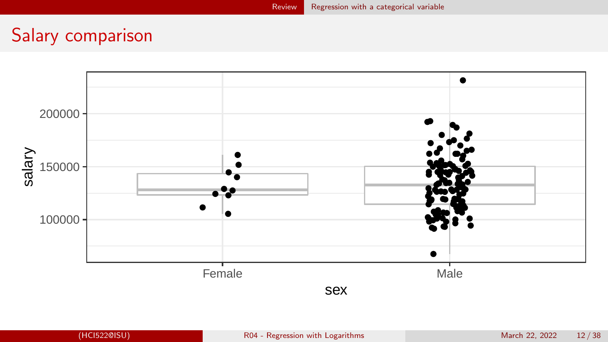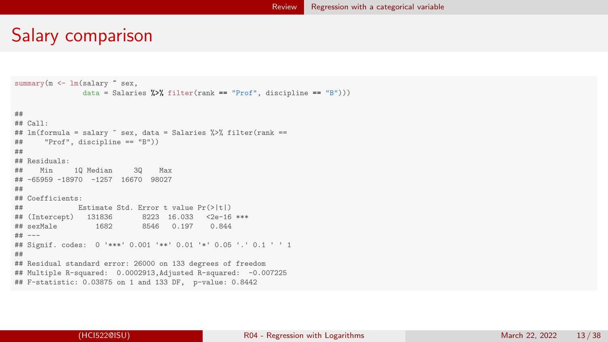```
summary(m <- lm(salary ~ sex,
               data = Salaries \frac{1}{2}, filter(rank == "Prof", discipline == "B")))
##
## Call:
## lm(formula = salary " sex, data = Salaries %>% filter(rank ==
## "Prof", discipline == "B"))
##
## Residuals:
## Min 1Q Median 3Q Max
## -65959 -18970 -1257 16670 98027
##
## Coefficients:
## Estimate Std. Error t value Pr(>|t|)
## (Intercept) 131836 8223 16.033 <2e-16 ***
                             8546 0.197 0.844
## ---
## Signif. codes: 0 '***' 0.001 '**' 0.01 '*' 0.05 '.' 0.1 ' ' 1
##
## Residual standard error: 26000 on 133 degrees of freedom
## Multiple R-squared: 0.0002913,Adjusted R-squared: -0.007225
## F-statistic: 0.03875 on 1 and 133 DF, p-value: 0.8442
```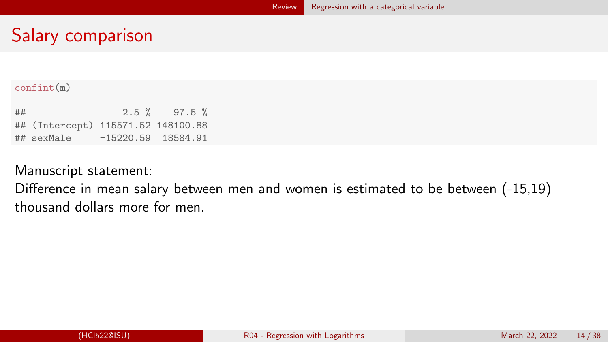#### confint(m)

| ## |                                    |                      | $2.5 \%$ 97.5 % |
|----|------------------------------------|----------------------|-----------------|
|    | ## (Intercept) 115571.52 148100.88 |                      |                 |
|    | ## sexMale                         | $-15220.59$ 18584.91 |                 |

#### Manuscript statement:

Difference in mean salary between men and women is estimated to be between (-15,19) thousand dollars more for men.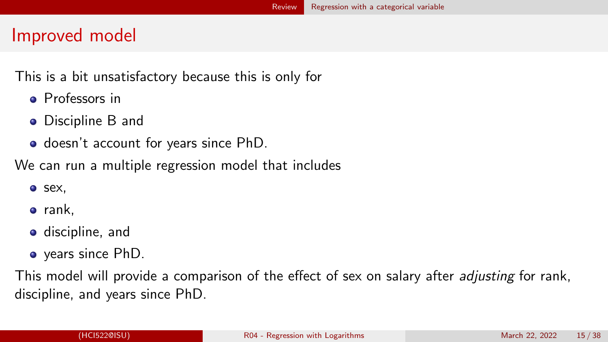#### Improved model

This is a bit unsatisfactory because this is only for

- **Professors in**
- Discipline B and
- o doesn't account for years since PhD.

We can run a multiple regression model that includes

- o sex,
- $\bullet$  rank,
- **o** discipline, and
- years since PhD.

This model will provide a comparison of the effect of sex on salary after *adjusting* for rank, discipline, and years since PhD.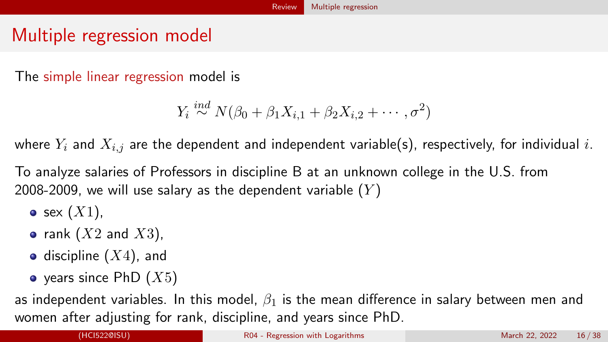#### <span id="page-15-0"></span>Multiple regression model

The simple linear regression model is

$$
Y_i \stackrel{ind}{\sim} N(\beta_0 + \beta_1 X_{i,1} + \beta_2 X_{i,2} + \cdots, \sigma^2)
$$

where  $Y_i$  and  $X_{i,j}$  are the dependent and independent variable(s), respectively, for individual i.

To analyze salaries of Professors in discipline B at an unknown college in the U.S. from 2008-2009, we will use salary as the dependent variable  $(Y)$ 

- $\bullet$  sex  $(X1)$ ,
- rank  $(X2$  and  $X3)$ ,
- discipline  $(X4)$ , and
- $\bullet$  years since PhD  $(X5)$

as independent variables. In this model,  $\beta_1$  is the mean difference in salary between men and women after adjusting for rank, discipline, and years since PhD.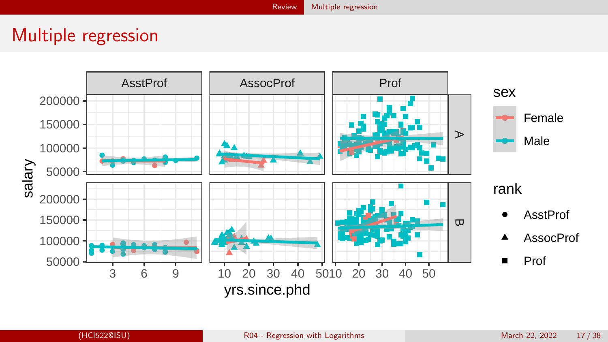#### [Review](#page-2-0) [Multiple regression](#page-15-0)

#### Multiple regression

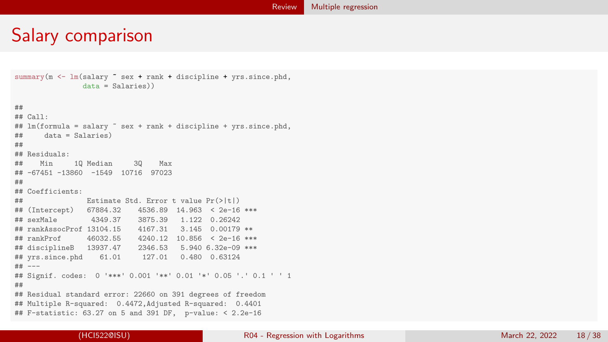```
summary(m \leq \ln(\text{salary} \text{ sex} + \text{rank} + \text{discpline} + \text{yrs.since.phd},data = Salaries))
##
## Call:
## lm(formula = salary " sex + rank + discipline + yrs.since.phd,
## data = Salaries)
##
## Residuals:
## Min 1Q Median 3Q Max
## -67451 -13860 -1549 10716 97023
##
## Coefficients:
## Estimate Std. Error t value Pr(>|t|)
## (Intercept) 67884.32 4536.89 14.963 < 2e-16 ***
                4349.37 3875.39 1.122 0.26242<br>of 13104.15 4167.31 3.145 0.00179 **
## rankAssocProf 13104.15<br>## rankProf 46032.55
                            4240.12 10.856 < 2e-16 ***<br>2346.53 5.940 6.32e-09 ***
## disciplineB 13937.47
## yrs.since.phd 61.01 127.01 0.480 0.63124
## ---
## Signif. codes: 0 '***' 0.001 '**' 0.01 '*' 0.05 '.' 0.1 ' ' 1
##
## Residual standard error: 22660 on 391 degrees of freedom
## Multiple R-squared: 0.4472,Adjusted R-squared: 0.4401
## F-statistic: 63.27 on 5 and 391 DF, p-value: < 2.2e-16
```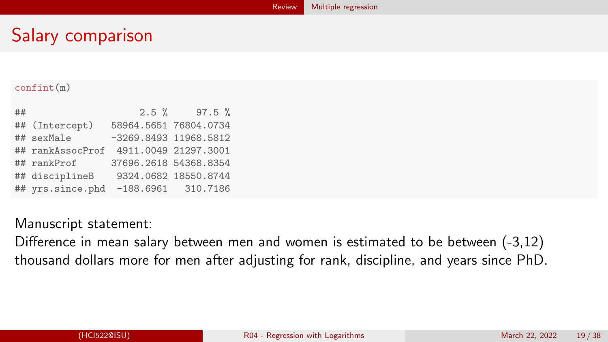#### [Review](#page-2-0) [Multiple regression](#page-15-0)

# Salary comparison

#### confint(m)

| ## |                                       |                         | $2.5 \%$ 97.5 %      |
|----|---------------------------------------|-------------------------|----------------------|
|    | ## (Intercept)                        | 58964.5651 76804.0734   |                      |
|    | ## sexMale                            | $-3269.8493$ 11968.5812 |                      |
|    | ## rankAssocProf 4911.0049 21297.3001 |                         |                      |
|    | ## rankProf                           | 37696.2618 54368.8354   |                      |
|    | ## disciplineB                        |                         | 9324.0682 18550.8744 |
|    | ## yrs.since.phd -188.6961 310.7186   |                         |                      |

#### Manuscript statement:

Difference in mean salary between men and women is estimated to be between (-3,12) thousand dollars more for men after adjusting for rank, discipline, and years since PhD.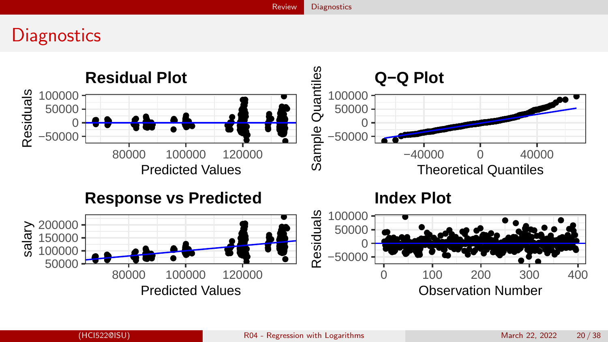[Review](#page-2-0) [Diagnostics](#page-19-0)

#### <span id="page-19-0"></span>**Diagnostics**

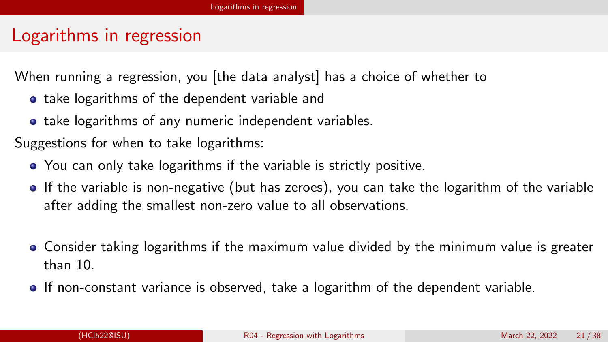#### <span id="page-20-0"></span>Logarithms in regression

When running a regression, you [the data analyst] has a choice of whether to

- take logarithms of the dependent variable and
- **•** take logarithms of any numeric independent variables.

Suggestions for when to take logarithms:

- You can only take logarithms if the variable is strictly positive.
- If the variable is non-negative (but has zeroes), you can take the logarithm of the variable after adding the smallest non-zero value to all observations.
- Consider taking logarithms if the maximum value divided by the minimum value is greater than 10.
- If non-constant variance is observed, take a logarithm of the dependent variable.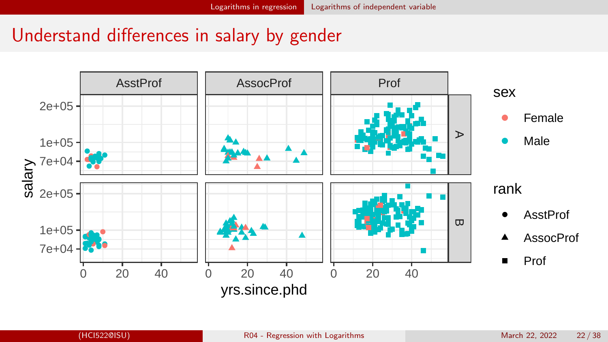<span id="page-21-0"></span>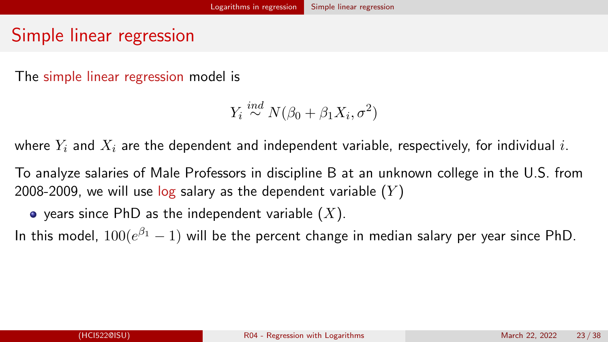#### <span id="page-22-0"></span>Simple linear regression

The simple linear regression model is

 $Y_i \stackrel{ind}{\sim} N(\beta_0 + \beta_1 X_i, \sigma^2)$ 

where  $Y_i$  and  $X_i$  are the dependent and independent variable, respectively, for individual i.

To analyze salaries of Male Professors in discipline B at an unknown college in the U.S. from 2008-2009, we will use  $log$  salary as the dependent variable  $(Y)$ 

 $\bullet$  years since PhD as the independent variable  $(X)$ .

In this model,  $100(e^{\beta_1}-1)$  will be the percent change in median salary per year since PhD.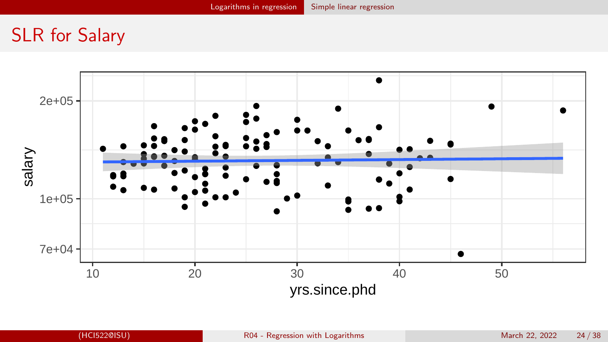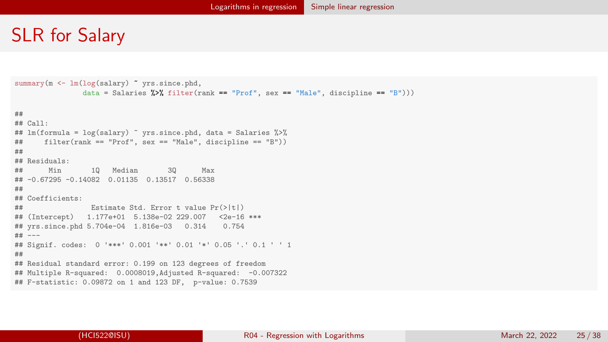```
summary(m <- lm(log(salary) ~ vrs.since.phd,
               data = Salaries \frac{1}{2} filter(rank == "Prof", sex == "Male", discipline == "B")))
##
## Call:
## lm(formula = log(salary) ~ yrs.since.phd, data = Salaries %>%
## filter(rank == "Prof", sex == "Male", discipline == "B"))
##
## Residuals:
## Min 1Q Median 3Q Max
## -0.67295 -0.14082 0.01135 0.13517 0.56338
##
## Coefficients:
## Estimate Std. Error t value Pr(>|t|)
## (Intercept) 1.177e+01 5.138e-02 229.007 <2e-16 ***
## yrs.since.phd 5.704e-04 1.816e-03 0.314
## ---
## Signif. codes: 0 '***' 0.001 '**' 0.01 '*' 0.05 '.' 0.1 ' ' 1
##
## Residual standard error: 0.199 on 123 degrees of freedom
## Multiple R-squared: 0.0008019,Adjusted R-squared: -0.007322
## F-statistic: 0.09872 on 1 and 123 DF, p-value: 0.7539
```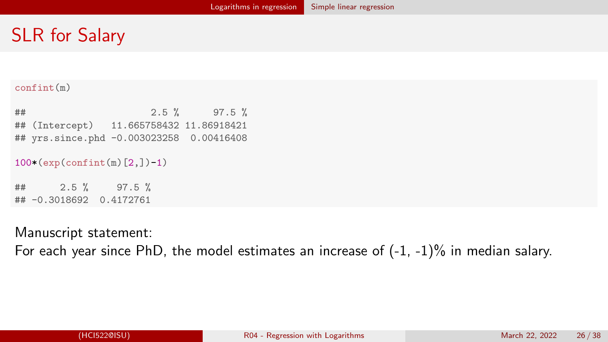#### confint(m)

 $\#$   $\#$   $\frac{1}{2.5}$   $\frac{1}{2}$   $\frac{97.5}{10}$   $\frac{1}{2}$ ## (Intercept) 11.665758432 11.86918421 ## yrs.since.phd -0.003023258 0.00416408

```
100*(exp(confint(m)[2,])-1)
```
## 2.5 % 97.5 % ## -0.3018692 0.4172761

Manuscript statement:

For each year since PhD, the model estimates an increase of  $(-1, -1)$ % in median salary.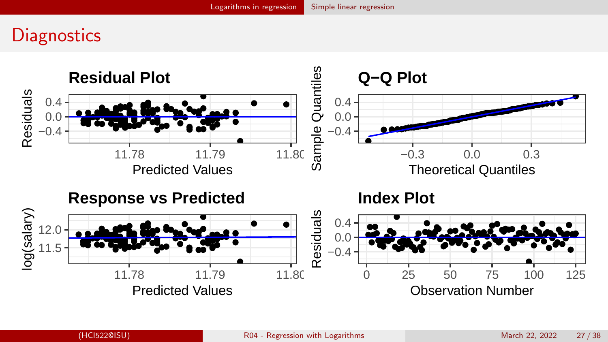#### **Diagnostics**

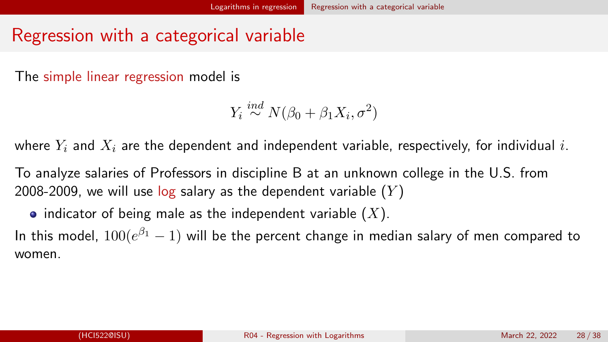#### <span id="page-27-0"></span>Regression with a categorical variable

The simple linear regression model is

 $Y_i \stackrel{ind}{\sim} N(\beta_0 + \beta_1 X_i, \sigma^2)$ 

where  $Y_i$  and  $X_i$  are the dependent and independent variable, respectively, for individual i.

To analyze salaries of Professors in discipline B at an unknown college in the U.S. from 2008-2009, we will use log salary as the dependent variable  $(Y)$ 

• indicator of being male as the independent variable  $(X)$ .

In this model,  $100(e^{\beta_1}-1)$  will be the percent change in median salary of men compared to women.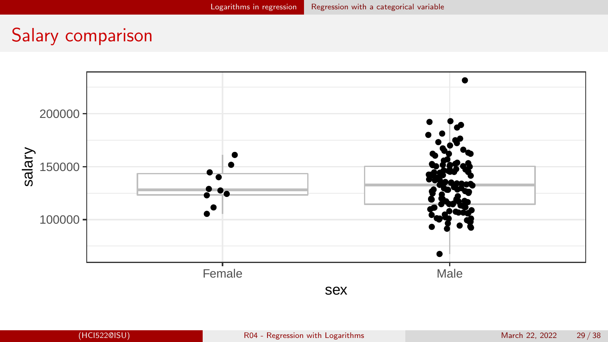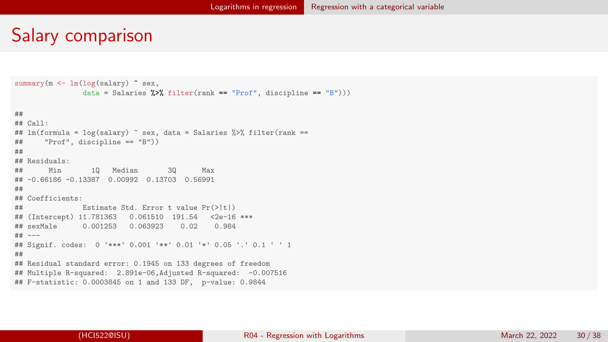```
summary(m <- lm(log(salary) ~ sex,
                data = Salaries \frac{1}{2}, filter(rank == "Prof", discipline == "B")))
##
## Call:
## lm(formula = log(salary) \tilde{ }</math> sex, data = Salaries %<math>\frac{1}{2}</math> filter(rank ==## "Prof", discipline == "B"))
##
## Residuals:
## Min 1Q Median 3Q Max
## -0.66186 -0.13387 0.00992 0.13703 0.56991
##
## Coefficients:
## Estimate Std. Error t value Pr(>|t|)
## (Intercept) 11.781363 0.061510 191.54 <2e-16 ***
                ## sexMale 0.001253 0.063923 0.02 0.984
## ---
## Signif. codes: 0 '***' 0.001 '**' 0.01 '*' 0.05 '.' 0.1 ' ' 1
##
## Residual standard error: 0.1945 on 133 degrees of freedom
## Multiple R-squared: 2.891e-06,Adjusted R-squared: -0.007516
## F-statistic: 0.0003845 on 1 and 133 DF, p-value: 0.9844
```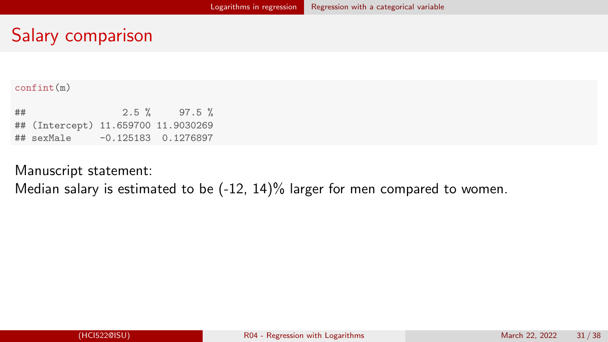#### confint(m)

| ## |                                     | $2.5 \%$ | $97.5 \%$ |
|----|-------------------------------------|----------|-----------|
|    | ## (Intercept) 11.659700 11.9030269 |          |           |
|    |                                     |          |           |

#### Manuscript statement:

Median salary is estimated to be (-12, 14)% larger for men compared to women.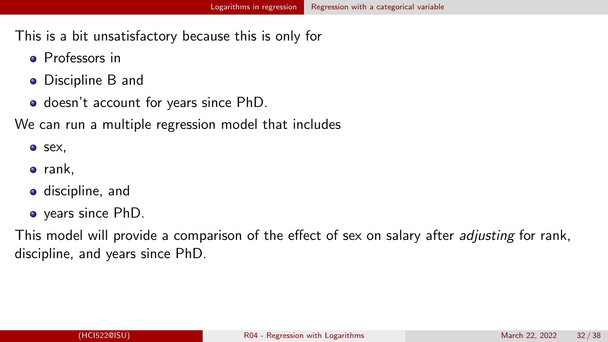This is a bit unsatisfactory because this is only for

- **•** Professors in
- **•** Discipline B and
- doesn't account for years since PhD.

We can run a multiple regression model that includes

o sex,

- rank,
- **o** discipline, and
- years since PhD.

This model will provide a comparison of the effect of sex on salary after *adjusting* for rank, discipline, and years since PhD.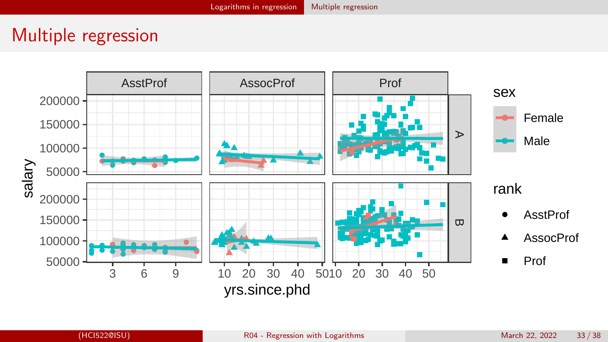#### <span id="page-32-0"></span>Multiple regression

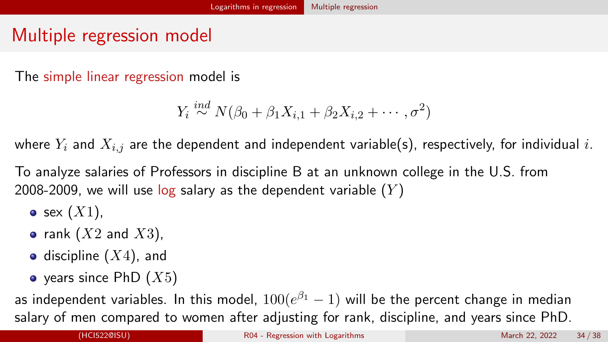### Multiple regression model

The simple linear regression model is

$$
Y_i \stackrel{ind}{\sim} N(\beta_0 + \beta_1 X_{i,1} + \beta_2 X_{i,2} + \cdots, \sigma^2)
$$

where  $Y_i$  and  $X_{i,j}$  are the dependent and independent variable(s), respectively, for individual i.

To analyze salaries of Professors in discipline B at an unknown college in the U.S. from 2008-2009, we will use log salary as the dependent variable  $(Y)$ 

- $\bullet$  sex  $(X1)$ ,
- rank  $(X2$  and  $X3)$ ,
- discipline  $(X4)$ , and
- $\bullet$  years since PhD  $(X5)$

as independent variables. In this model,  $100(e^{\beta_1}-1)$  will be the percent change in median salary of men compared to women after adjusting for rank, discipline, and years since PhD.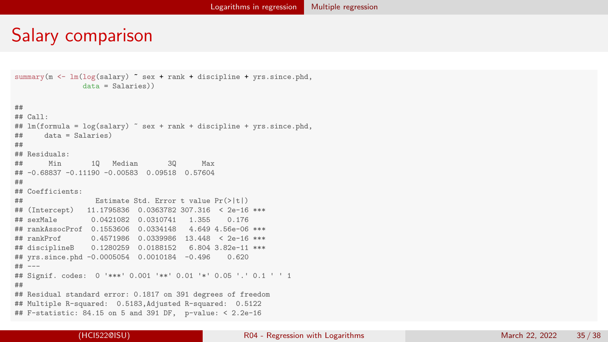```
summary(m <- \ln(\log(\text{salary}) \tilde{\phantom{a}} sex + rank + discipline + yrs.since.phd,
               data = Salaries))
##
## Call:
## lm(formula = log(salary) \tilde{ } sex + rank + discipline + yrs.since.phd,
## data = Salaries)
##
## Residuals:
                 10 Median 30 Max
## -0.68837 -0.11190 -0.00583 0.09518 0.57604
##
## Coefficients:
## Estimate Std. Error t value Pr(>|t|)
## (Intercept) 11.1795836 0.0363782 307.316 < 2e-16 ***
           0.0421082 0.0310741 1.355 0.176
## rankAssocProf 0.1553606 0.0334148 4.649 4.56e-06 ***
## rankProf 0.4571986 0.0339986 13.448 < 2e-16 ***
## disciplineB 0.1280259 0.0188152 6.804 3.82e-11 ***
## yrs.since.phd -0.0005054 0.0010184 -0.496 0.620
## ---
## Signif. codes: 0 '***' 0.001 '**' 0.01 '*' 0.05 '.' 0.1 ' ' 1
##
## Residual standard error: 0.1817 on 391 degrees of freedom
## Multiple R-squared: 0.5183,Adjusted R-squared: 0.5122
## F-statistic: 84.15 on 5 and 391 DF, p-value: < 2.2e-16
```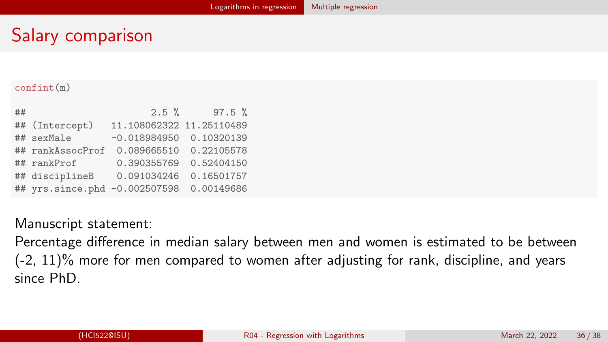#### confint(m)

| ## |                               | $2.5 \%$                    | $97.5 \%$  |
|----|-------------------------------|-----------------------------|------------|
|    | ## (Intercept)                | 11.108062322 11.25110489    |            |
|    | ## sexMale                    | $-0.018984950$ $0.10320139$ |            |
|    | ## rankAssocProf              | 0.089665510                 | 0.22105578 |
|    | ## rankProf                   | 0.390355769                 | 0.52404150 |
|    | ## disciplineB                | 0.091034246                 | 0.16501757 |
|    | ## yrs.since.phd -0.002507598 |                             | 0.00149686 |

#### Manuscript statement:

Percentage difference in median salary between men and women is estimated to be between  $(-2, 11)\%$  more for men compared to women after adjusting for rank, discipline, and years since PhD.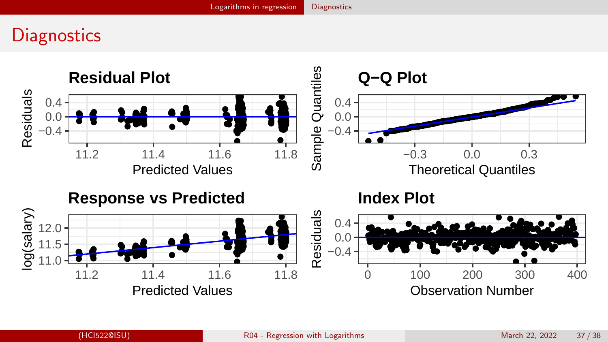# <span id="page-36-0"></span>**Diagnostics**